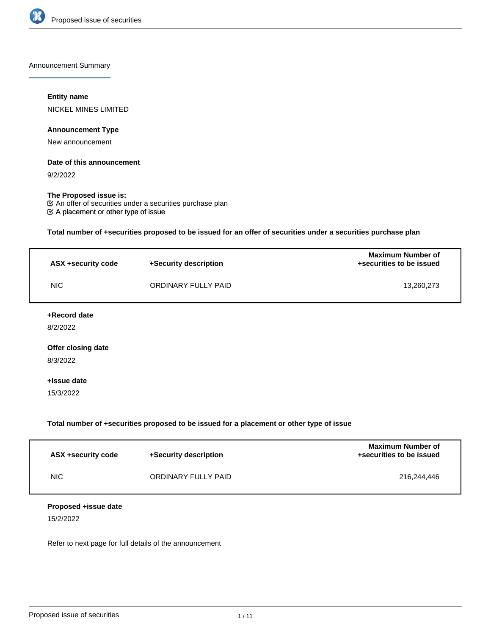

Announcement Summary

#### **Entity name**

NICKEL MINES LIMITED

# **Announcement Type**

New announcement

## **Date of this announcement**

9/2/2022

# **The Proposed issue is:**

A placement or other type of issue  $\mathfrak C$  An offer of securities under a securities purchase plan

**Total number of +securities proposed to be issued for an offer of securities under a securities purchase plan**

| ASX +security code | +Security description | <b>Maximum Number of</b><br>+securities to be issued |
|--------------------|-----------------------|------------------------------------------------------|
| NIC.               | ORDINARY FULLY PAID   | 13,260,273                                           |
| +Record date       |                       |                                                      |
| 8/2/2022           |                       |                                                      |
| Offer closing date |                       |                                                      |
| 8/3/2022           |                       |                                                      |

#### **+Issue date**

15/3/2022

# **Total number of +securities proposed to be issued for a placement or other type of issue**

| ASX +security code | +Security description | <b>Maximum Number of</b><br>+securities to be issued |
|--------------------|-----------------------|------------------------------------------------------|
| NIC.               | ORDINARY FULLY PAID   | 216.244.446                                          |

#### **Proposed +issue date**

15/2/2022

Refer to next page for full details of the announcement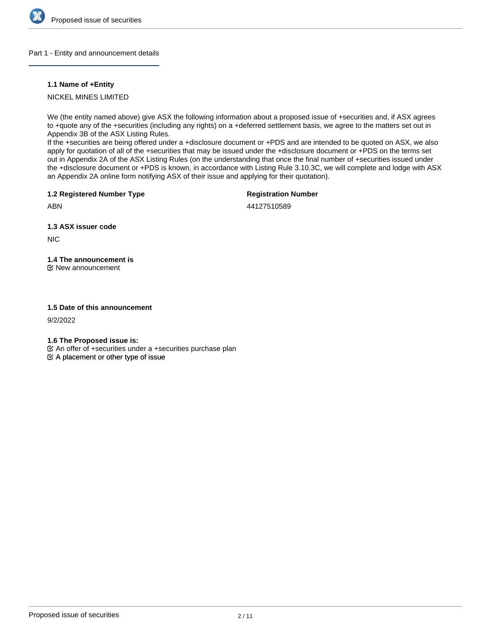

#### Part 1 - Entity and announcement details

# **1.1 Name of +Entity**

# NICKEL MINES LIMITED

We (the entity named above) give ASX the following information about a proposed issue of +securities and, if ASX agrees to +quote any of the +securities (including any rights) on a +deferred settlement basis, we agree to the matters set out in Appendix 3B of the ASX Listing Rules.

If the +securities are being offered under a +disclosure document or +PDS and are intended to be quoted on ASX, we also apply for quotation of all of the +securities that may be issued under the +disclosure document or +PDS on the terms set out in Appendix 2A of the ASX Listing Rules (on the understanding that once the final number of +securities issued under the +disclosure document or +PDS is known, in accordance with Listing Rule 3.10.3C, we will complete and lodge with ASX an Appendix 2A online form notifying ASX of their issue and applying for their quotation).

**1.2 Registered Number Type**

# **Registration Number**

44127510589

**1.3 ASX issuer code**

NIC

ABN

# **1.4 The announcement is**

New announcement

#### **1.5 Date of this announcement**

9/2/2022

**1.6 The Proposed issue is:**

An offer of +securities under a +securities purchase plan

 $\mathfrak{S}$  A placement or other type of issue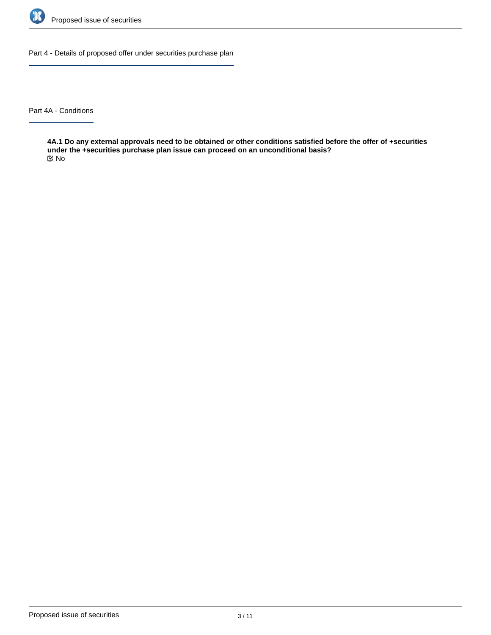

Part 4 - Details of proposed offer under securities purchase plan

Part 4A - Conditions

**4A.1 Do any external approvals need to be obtained or other conditions satisfied before the offer of +securities under the +securities purchase plan issue can proceed on an unconditional basis?** No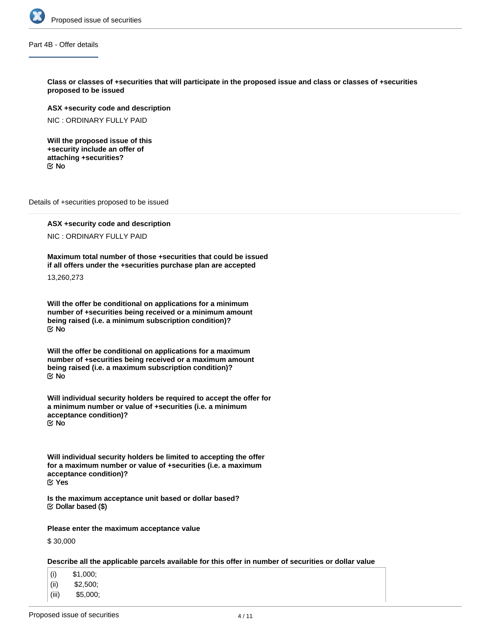

Part 4B - Offer details

**Class or classes of +securities that will participate in the proposed issue and class or classes of +securities proposed to be issued**

**ASX +security code and description**

NIC : ORDINARY FULLY PAID

**Will the proposed issue of this +security include an offer of attaching +securities?** No

Details of +securities proposed to be issued

**ASX +security code and description** NIC : ORDINARY FULLY PAID

**Maximum total number of those +securities that could be issued if all offers under the +securities purchase plan are accepted**

13,260,273

**Will the offer be conditional on applications for a minimum number of +securities being received or a minimum amount being raised (i.e. a minimum subscription condition)?** No

**Will the offer be conditional on applications for a maximum number of +securities being received or a maximum amount being raised (i.e. a maximum subscription condition)?** No

**Will individual security holders be required to accept the offer for a minimum number or value of +securities (i.e. a minimum acceptance condition)?** No

**Will individual security holders be limited to accepting the offer for a maximum number or value of +securities (i.e. a maximum acceptance condition)?** Yes

**Is the maximum acceptance unit based or dollar based?**  $\mathfrak{S}$  Dollar based (\$)

**Please enter the maximum acceptance value**

\$ 30,000

**Describe all the applicable parcels available for this offer in number of securities or dollar value**

- (i) \$1,000;
- (ii) \$2,500;
- (iii) \$5,000;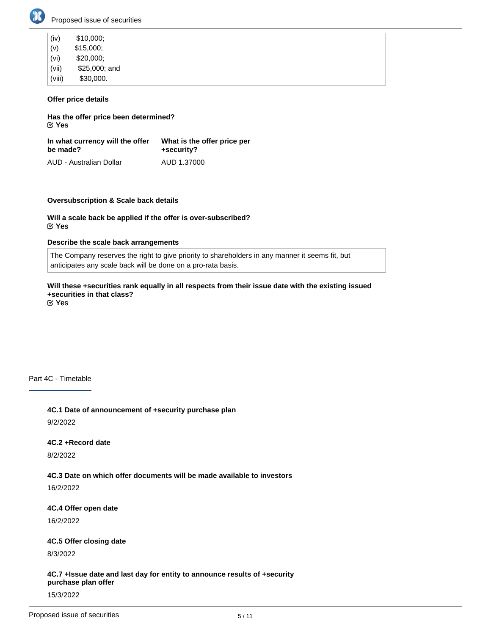

| (iv)   | \$10,000;     |
|--------|---------------|
| (v)    | \$15,000;     |
| (vi)   | \$20,000;     |
| (vii)  | \$25,000; and |
| (viii) | \$30,000.     |

# **Offer price details**

**Has the offer price been determined?** Yes

**In what currency will the offer be made?** AUD - Australian Dollar **What is the offer price per +security?** AUD 1.37000

#### **Oversubscription & Scale back details**

**Will a scale back be applied if the offer is over-subscribed?** Yes

## **Describe the scale back arrangements**

The Company reserves the right to give priority to shareholders in any manner it seems fit, but anticipates any scale back will be done on a pro-rata basis.

**Will these +securities rank equally in all respects from their issue date with the existing issued +securities in that class?** Yes

Part 4C - Timetable

**4C.1 Date of announcement of +security purchase plan** 9/2/2022

#### **4C.2 +Record date**

8/2/2022

**4C.3 Date on which offer documents will be made available to investors**

16/2/2022

**4C.4 Offer open date**

16/2/2022

#### **4C.5 Offer closing date**

8/3/2022

**4C.7 +Issue date and last day for entity to announce results of +security purchase plan offer**

15/3/2022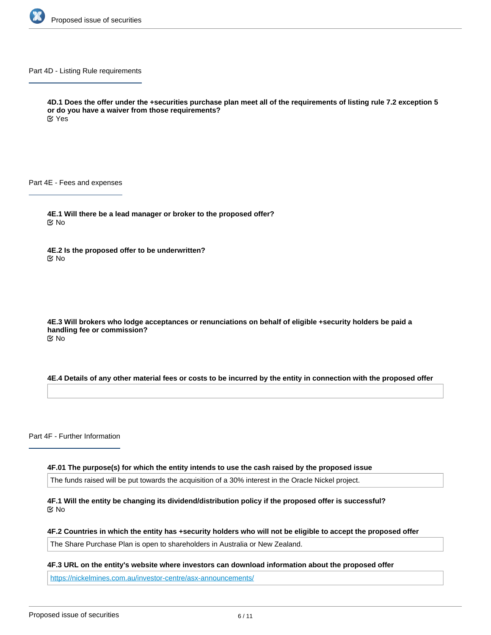

Part 4D - Listing Rule requirements

**4D.1 Does the offer under the +securities purchase plan meet all of the requirements of listing rule 7.2 exception 5 or do you have a waiver from those requirements?** Yes

Part 4E - Fees and expenses

**4E.1 Will there be a lead manager or broker to the proposed offer?** No

**4E.2 Is the proposed offer to be underwritten?** No

**4E.3 Will brokers who lodge acceptances or renunciations on behalf of eligible +security holders be paid a handling fee or commission?** No

**4E.4 Details of any other material fees or costs to be incurred by the entity in connection with the proposed offer**

Part 4F - Further Information

**4F.01 The purpose(s) for which the entity intends to use the cash raised by the proposed issue**

The funds raised will be put towards the acquisition of a 30% interest in the Oracle Nickel project.

**4F.1 Will the entity be changing its dividend/distribution policy if the proposed offer is successful?** No

**4F.2 Countries in which the entity has +security holders who will not be eligible to accept the proposed offer**

The Share Purchase Plan is open to shareholders in Australia or New Zealand.

**4F.4 Any other information the entity wishes to provide about the proposed offer**

**4F.3 URL on the entity's website where investors can download information about the proposed offer**

<https://nickelmines.com.au/investor-centre/asx-announcements/>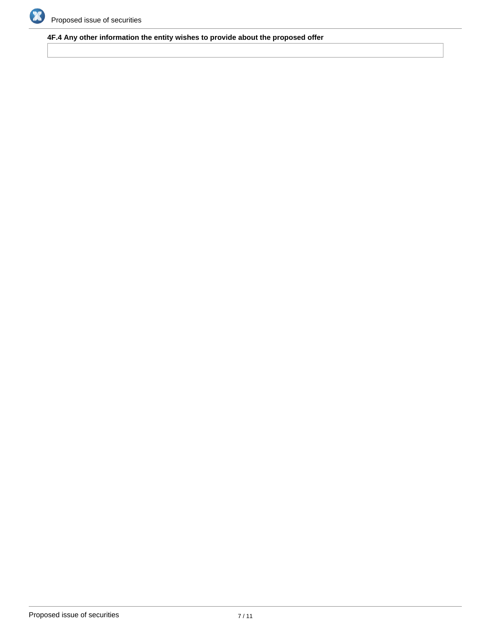

# **4F.4 Any other information the entity wishes to provide about the proposed offer**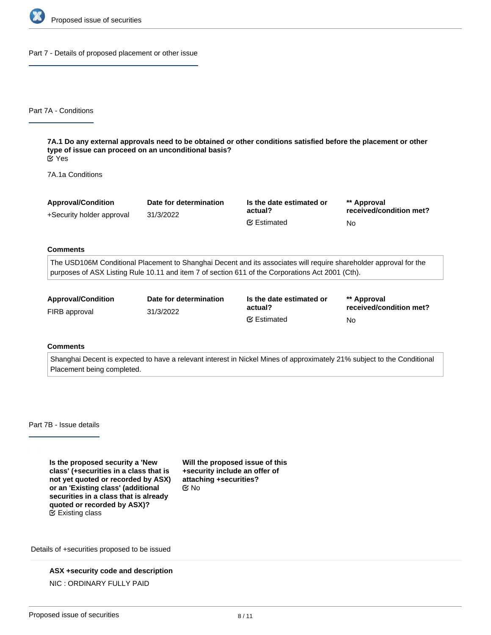

Part 7 - Details of proposed placement or other issue

Part 7A - Conditions

**7A.1 Do any external approvals need to be obtained or other conditions satisfied before the placement or other type of issue can proceed on an unconditional basis?** Yes

7A.1a Conditions

| <b>Approval/Condition</b> | Date for determination | Is the date estimated or<br>actual? | ** Approval             |
|---------------------------|------------------------|-------------------------------------|-------------------------|
| +Security holder approval | 31/3/2022              |                                     | received/condition met? |
|                           |                        | <b></b> Estimated                   | No                      |

#### **Comments**

The USD106M Conditional Placement to Shanghai Decent and its associates will require shareholder approval for the purposes of ASX Listing Rule 10.11 and item 7 of section 611 of the Corporations Act 2001 (Cth).

| <b>Approval/Condition</b> | Date for determination | Is the date estimated or<br>actual? | ** Approval             |
|---------------------------|------------------------|-------------------------------------|-------------------------|
| FIRB approval             | 31/3/2022              |                                     | received/condition met? |
|                           |                        | <b></b> ■ Estimated                 | No                      |

# **Comments**

Shanghai Decent is expected to have a relevant interest in Nickel Mines of approximately 21% subject to the Conditional Placement being completed.

Part 7B - Issue details

**Is the proposed security a 'New class' (+securities in a class that is not yet quoted or recorded by ASX) or an 'Existing class' (additional securities in a class that is already quoted or recorded by ASX)?**  $E$  Existing class

**Will the proposed issue of this +security include an offer of attaching +securities?** No

Details of +securities proposed to be issued

**ASX +security code and description** NIC : ORDINARY FULLY PAID

**Number of +securities proposed to be issued**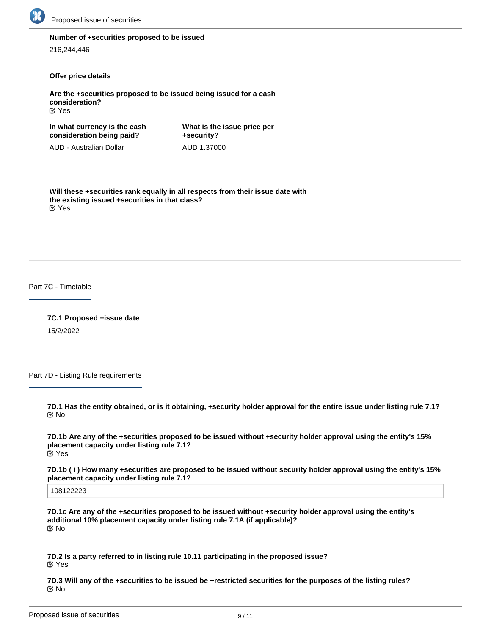

#### **Number of +securities proposed to be issued**

216,244,446

#### **Offer price details**

**Are the +securities proposed to be issued being issued for a cash consideration?** Yes

**In what currency is the cash consideration being paid?** AUD - Australian Dollar **What is the issue price per +security?** AUD 1.37000

**Will these +securities rank equally in all respects from their issue date with the existing issued +securities in that class?** Yes

Part 7C - Timetable

**7C.1 Proposed +issue date** 15/2/2022

Part 7D - Listing Rule requirements

**7D.1 Has the entity obtained, or is it obtaining, +security holder approval for the entire issue under listing rule 7.1?** No

**7D.1b Are any of the +securities proposed to be issued without +security holder approval using the entity's 15% placement capacity under listing rule 7.1?** Yes

**7D.1b ( i ) How many +securities are proposed to be issued without security holder approval using the entity's 15% placement capacity under listing rule 7.1?**

108122223

**7D.1c Are any of the +securities proposed to be issued without +security holder approval using the entity's additional 10% placement capacity under listing rule 7.1A (if applicable)?** No

**7D.2 Is a party referred to in listing rule 10.11 participating in the proposed issue?** Yes

**7D.3 Will any of the +securities to be issued be +restricted securities for the purposes of the listing rules? K** No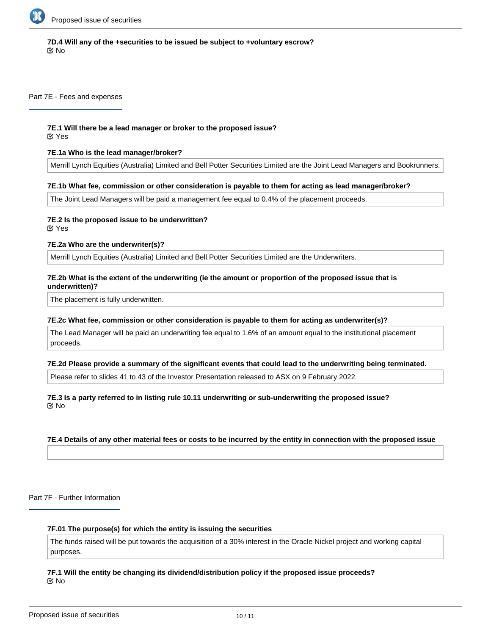

# **7D.4 Will any of the +securities to be issued be subject to +voluntary escrow?** No

Part 7E - Fees and expenses

# **7E.1 Will there be a lead manager or broker to the proposed issue?**

Yes

# **7E.1a Who is the lead manager/broker?**

Merrill Lynch Equities (Australia) Limited and Bell Potter Securities Limited are the Joint Lead Managers and Bookrunners.

#### **7E.1b What fee, commission or other consideration is payable to them for acting as lead manager/broker?**

The Joint Lead Managers will be paid a management fee equal to 0.4% of the placement proceeds.

# **7E.2 Is the proposed issue to be underwritten?**

Yes

#### **7E.2a Who are the underwriter(s)?**

Merrill Lynch Equities (Australia) Limited and Bell Potter Securities Limited are the Underwriters.

#### **7E.2b What is the extent of the underwriting (ie the amount or proportion of the proposed issue that is underwritten)?**

The placement is fully underwritten.

#### **7E.2c What fee, commission or other consideration is payable to them for acting as underwriter(s)?**

The Lead Manager will be paid an underwriting fee equal to 1.6% of an amount equal to the institutional placement proceeds.

#### **7E.2d Please provide a summary of the significant events that could lead to the underwriting being terminated.**

Please refer to slides 41 to 43 of the Investor Presentation released to ASX on 9 February 2022.

# **7E.3 Is a party referred to in listing rule 10.11 underwriting or sub-underwriting the proposed issue?** No

# **7E.4 Details of any other material fees or costs to be incurred by the entity in connection with the proposed issue**

Part 7F - Further Information

## **7F.01 The purpose(s) for which the entity is issuing the securities**

The funds raised will be put towards the acquisition of a 30% interest in the Oracle Nickel project and working capital purposes.

#### **7F.1 Will the entity be changing its dividend/distribution policy if the proposed issue proceeds?** No

**7F.2 Any other information the entity wishes to provide about the proposed issue**